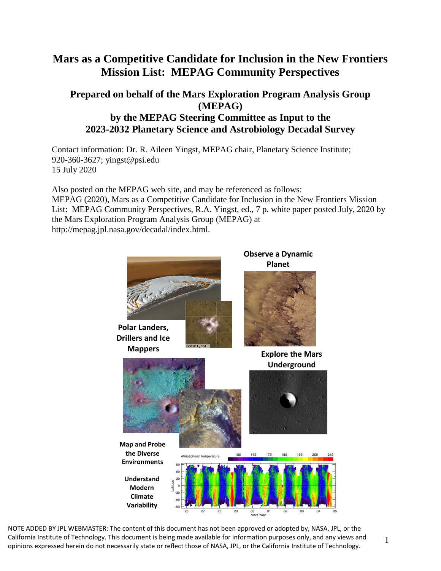# **Mars as a Competitive Candidate for Inclusion in the New Frontiers Mission List: MEPAG Community Perspectives**

### **Prepared on behalf of the Mars Exploration Program Analysis Group (MEPAG) by the MEPAG Steering Committee as Input to the 2023-2032 Planetary Science and Astrobiology Decadal Survey**

Contact information: Dr. R. Aileen Yingst, MEPAG chair, Planetary Science Institute; 920-360-3627; yingst@psi.edu 15 July 2020

Also posted on the MEPAG web site, and may be referenced as follows: MEPAG (2020), Mars as a Competitive Candidate for Inclusion in the New Frontiers Mission List: MEPAG Community Perspectives, R.A. Yingst, ed., 7 p. white paper posted July, 2020 by the Mars Exploration Program Analysis Group (MEPAG) at http://mepag.jpl.nasa.gov/decadal/index.html.



California Institute of Technology. This document is being made available for information purposes only, and any views and opinions expressed herein do not necessarily state or reflect those of NASA, JPL, or the California Institute of Technology. NOTE ADDED BY JPL WEBMASTER: The content of this document has not been approved or adopted by, NASA, JPL, or the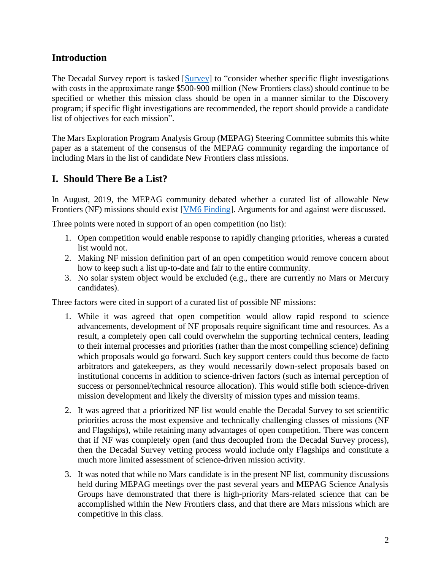### **Introduction**

The Decadal Survey report is tasked [\[Survey\]](https://www.nationalacademies.org/our-work/planetary-science-and-astrobiology-decadal-survey-2023-2032) to "consider whether specific flight investigations with costs in the approximate range \$500-900 million (New Frontiers class) should continue to be specified or whether this mission class should be open in a manner similar to the Discovery program; if specific flight investigations are recommended, the report should provide a candidate list of objectives for each mission".

The Mars Exploration Program Analysis Group (MEPAG) Steering Committee submits this white paper as a statement of the consensus of the MEPAG community regarding the importance of including Mars in the list of candidate New Frontiers class missions.

### **I. Should There Be a List?**

In August, 2019, the MEPAG community debated whether a curated list of allowable New Frontiers (NF) missions should exist [\[VM6 Finding\]](https://mepag.jpl.nasa.gov/meeting/2019-08/MEPAG%20VM6%20Finding_Final.pdf). Arguments for and against were discussed.

Three points were noted in support of an open competition (no list):

- 1. Open competition would enable response to rapidly changing priorities, whereas a curated list would not.
- 2. Making NF mission definition part of an open competition would remove concern about how to keep such a list up-to-date and fair to the entire community.
- 3. No solar system object would be excluded (e.g., there are currently no Mars or Mercury candidates).

Three factors were cited in support of a curated list of possible NF missions:

- 1. While it was agreed that open competition would allow rapid respond to science advancements, development of NF proposals require significant time and resources. As a result, a completely open call could overwhelm the supporting technical centers, leading to their internal processes and priorities (rather than the most compelling science) defining which proposals would go forward. Such key support centers could thus become de facto arbitrators and gatekeepers, as they would necessarily down-select proposals based on institutional concerns in addition to science-driven factors (such as internal perception of success or personnel/technical resource allocation). This would stifle both science-driven mission development and likely the diversity of mission types and mission teams.
- 2. It was agreed that a prioritized NF list would enable the Decadal Survey to set scientific priorities across the most expensive and technically challenging classes of missions (NF and Flagships), while retaining many advantages of open competition. There was concern that if NF was completely open (and thus decoupled from the Decadal Survey process), then the Decadal Survey vetting process would include only Flagships and constitute a much more limited assessment of science-driven mission activity.
- 3. It was noted that while no Mars candidate is in the present NF list, community discussions held during MEPAG meetings over the past several years and MEPAG Science Analysis Groups have demonstrated that there is high-priority Mars-related science that can be accomplished within the New Frontiers class, and that there are Mars missions which are competitive in this class.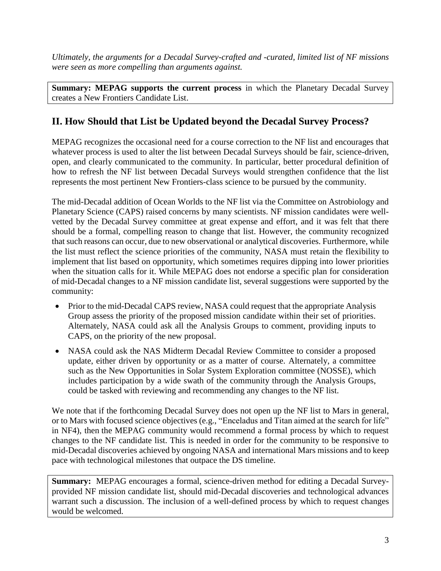*Ultimately, the arguments for a Decadal Survey-crafted and -curated, limited list of NF missions were seen as more compelling than arguments against.*

**Summary: MEPAG supports the current process** in which the Planetary Decadal Survey creates a New Frontiers Candidate List.

## **II. How Should that List be Updated beyond the Decadal Survey Process?**

MEPAG recognizes the occasional need for a course correction to the NF list and encourages that whatever process is used to alter the list between Decadal Surveys should be fair, science-driven, open, and clearly communicated to the community. In particular, better procedural definition of how to refresh the NF list between Decadal Surveys would strengthen confidence that the list represents the most pertinent New Frontiers-class science to be pursued by the community.

The mid-Decadal addition of Ocean Worlds to the NF list via the Committee on Astrobiology and Planetary Science (CAPS) raised concerns by many scientists. NF mission candidates were wellvetted by the Decadal Survey committee at great expense and effort, and it was felt that there should be a formal, compelling reason to change that list. However, the community recognized that such reasons can occur, due to new observational or analytical discoveries. Furthermore, while the list must reflect the science priorities of the community, NASA must retain the flexibility to implement that list based on opportunity, which sometimes requires dipping into lower priorities when the situation calls for it. While MEPAG does not endorse a specific plan for consideration of mid-Decadal changes to a NF mission candidate list, several suggestions were supported by the community:

- Prior to the mid-Decadal CAPS review, NASA could request that the appropriate Analysis Group assess the priority of the proposed mission candidate within their set of priorities. Alternately, NASA could ask all the Analysis Groups to comment, providing inputs to CAPS, on the priority of the new proposal.
- NASA could ask the NAS Midterm Decadal Review Committee to consider a proposed update, either driven by opportunity or as a matter of course. Alternately, a committee such as the New Opportunities in Solar System Exploration committee (NOSSE), which includes participation by a wide swath of the community through the Analysis Groups, could be tasked with reviewing and recommending any changes to the NF list.

We note that if the forthcoming Decadal Survey does not open up the NF list to Mars in general, or to Mars with focused science objectives (e.g., "Enceladus and Titan aimed at the search for life" in NF4), then the MEPAG community would recommend a formal process by which to request changes to the NF candidate list. This is needed in order for the community to be responsive to mid-Decadal discoveries achieved by ongoing NASA and international Mars missions and to keep pace with technological milestones that outpace the DS timeline.

**Summary:** MEPAG encourages a formal, science-driven method for editing a Decadal Surveyprovided NF mission candidate list, should mid-Decadal discoveries and technological advances warrant such a discussion. The inclusion of a well-defined process by which to request changes would be welcomed.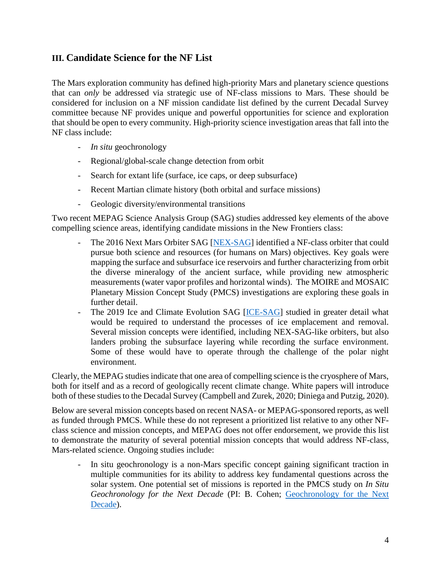### **III. Candidate Science for the NF List**

The Mars exploration community has defined high-priority Mars and planetary science questions that can *only* be addressed via strategic use of NF-class missions to Mars. These should be considered for inclusion on a NF mission candidate list defined by the current Decadal Survey committee because NF provides unique and powerful opportunities for science and exploration that should be open to every community. High-priority science investigation areas that fall into the NF class include:

- *In situ* geochronology
- Regional/global-scale change detection from orbit
- Search for extant life (surface, ice caps, or deep subsurface)
- Recent Martian climate history (both orbital and surface missions)
- Geologic diversity/environmental transitions

Two recent MEPAG Science Analysis Group (SAG) studies addressed key elements of the above compelling science areas, identifying candidate missions in the New Frontiers class:

- The 2016 Next Mars Orbiter SAG [\[NEX-SAG\]](https://mepag.jpl.nasa.gov/reports/NEX-SAG_draft_v29_FINAL.pdf) identified a NF-class orbiter that could pursue both science and resources (for humans on Mars) objectives. Key goals were mapping the surface and subsurface ice reservoirs and further characterizing from orbit the diverse mineralogy of the ancient surface, while providing new atmospheric measurements (water vapor profiles and horizontal winds). The MOIRE and MOSAIC Planetary Mission Concept Study (PMCS) investigations are exploring these goals in further detail.
- The 2019 Ice and Climate Evolution SAG [\[ICE-SAG\]](https://mepag.jpl.nasa.gov/reports/ICESAG_Report_FINAL.pdf) studied in greater detail what would be required to understand the processes of ice emplacement and removal. Several mission concepts were identified, including NEX-SAG-like orbiters, but also landers probing the subsurface layering while recording the surface environment. Some of these would have to operate through the challenge of the polar night environment.

Clearly, the MEPAG studies indicate that one area of compelling science is the cryosphere of Mars, both for itself and as a record of geologically recent climate change. White papers will introduce both of these studies to the Decadal Survey (Campbell and Zurek, 2020; Diniega and Putzig, 2020).

Below are several mission concepts based on recent NASA- or MEPAG-sponsored reports, as well as funded through PMCS. While these do not represent a prioritized list relative to any other NFclass science and mission concepts, and MEPAG does not offer endorsement, we provide this list to demonstrate the maturity of several potential mission concepts that would address NF-class, Mars-related science. Ongoing studies include:

In situ geochronology is a non-Mars specific concept gaining significant traction in multiple communities for its ability to address key fundamental questions across the solar system. One potential set of missions is reported in the PMCS study on *In Situ Geochronology for the Next Decade* (PI: B. Cohen; [Geochronology for the Next](https://mepag.jpl.nasa.gov/meeting/2020-04/Day2/17_MEPAG_talk_v3_post.pdf)  [Decade\)](https://mepag.jpl.nasa.gov/meeting/2020-04/Day2/17_MEPAG_talk_v3_post.pdf).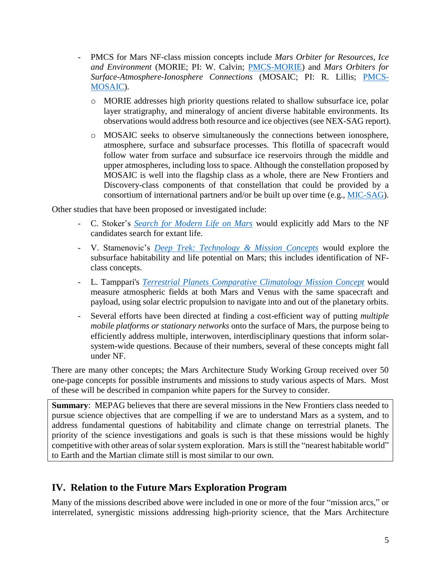- PMCS for Mars NF-class mission concepts include *Mars Orbiter for Resources, Ice and Environment* (MORIE; PI: W. Calvin; [PMCS-MORIE\)](https://mepag.jpl.nasa.gov/meeting/2020-04/Day2/15_MORIE_for_MEPAG_post.pdf) and *Mars Orbiters for Surface-Atmosphere-Ionosphere Connections* (MOSAIC; PI: R. Lillis; [PMCS-](https://mepag.jpl.nasa.gov/meeting/2020-04/Day2/13_MOSAIC_MEPAG_2020_short_version_minimal_backup_post.pdf)[MOSAIC\)](https://mepag.jpl.nasa.gov/meeting/2020-04/Day2/13_MOSAIC_MEPAG_2020_short_version_minimal_backup_post.pdf).
	- o MORIE addresses high priority questions related to shallow subsurface ice, polar layer stratigraphy, and mineralogy of ancient diverse habitable environments. Its observations would address both resource and ice objectives (see NEX-SAG report).
	- o MOSAIC seeks to observe simultaneously the connections between ionosphere, atmosphere, surface and subsurface processes. This flotilla of spacecraft would follow water from surface and subsurface ice reservoirs through the middle and upper atmospheres, including loss to space. Although the constellation proposed by MOSAIC is well into the flagship class as a whole, there are New Frontiers and Discovery-class components of that constellation that could be provided by a consortium of international partners and/or be built up over time (e.g., [MIC-SAG\)](https://mepag.jpl.nasa.gov/reports/MICSAG_slides_v16_FINAL.pdf).

Other studies that have been proposed or investigated include:

- C. Stoker's *[Search for Modern Life on Mars](https://mepag.jpl.nasa.gov/meeting/2020-04/whitetopics/WhitePaper_04_Stoker.ModernLife.pdf)* would explicitly add Mars to the NF candidates search for extant life.
- V. Stamenovic's *[Deep Trek: Technology & Mission Concepts](https://mepag.jpl.nasa.gov/meeting/2020-04/whitetopics/WhitePaper_06_Stamenkovic.DeepTrekTech.pdf)* would explore the subsurface habitability and life potential on Mars; this includes identification of NFclass concepts.
- L. Tamppari's *[Terrestrial Planets Comparative Climatology Mission Concept](https://mepag.jpl.nasa.gov/reports/decadal2032/TPCC_White_Paper_200630.pdf)* would measure atmospheric fields at both Mars and Venus with the same spacecraft and payload, using solar electric propulsion to navigate into and out of the planetary orbits.
- Several efforts have been directed at finding a cost-efficient way of putting *multiple mobile platforms or stationary networks* onto the surface of Mars, the purpose being to efficiently address multiple, interwoven, interdisciplinary questions that inform solarsystem-wide questions. Because of their numbers, several of these concepts might fall under NF.

There are many other concepts; the Mars Architecture Study Working Group received over 50 one-page concepts for possible instruments and missions to study various aspects of Mars. Most of these will be described in companion white papers for the Survey to consider.

**Summary:** MEPAG believes that there are several missions in the New Frontiers class needed to pursue science objectives that are compelling if we are to understand Mars as a system, and to address fundamental questions of habitability and climate change on terrestrial planets. The priority of the science investigations and goals is such is that these missions would be highly competitive with other areas of solar system exploration. Mars is still the "nearest habitable world" to Earth and the Martian climate still is most similar to our own.

### **IV. Relation to the Future Mars Exploration Program**

Many of the missions described above were included in one or more of the four "mission arcs," or interrelated, synergistic missions addressing high-priority science, that the Mars Architecture